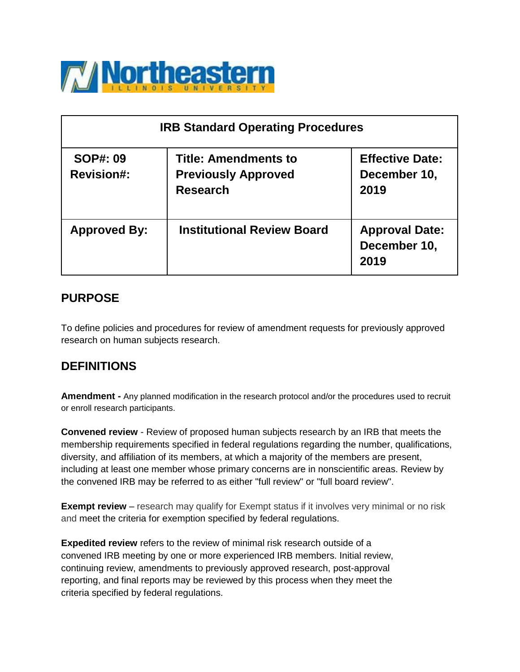

| <b>IRB Standard Operating Procedures</b> |                                                                              |                                                |  |
|------------------------------------------|------------------------------------------------------------------------------|------------------------------------------------|--|
| <b>SOP#: 09</b><br><b>Revision#:</b>     | <b>Title: Amendments to</b><br><b>Previously Approved</b><br><b>Research</b> | <b>Effective Date:</b><br>December 10,<br>2019 |  |
| <b>Approved By:</b>                      | <b>Institutional Review Board</b>                                            | <b>Approval Date:</b><br>December 10,<br>2019  |  |

### **PURPOSE**

To define policies and procedures for review of amendment requests for previously approved research on human subjects research.

### **DEFINITIONS**

**Amendment -** Any planned modification in the research protocol and/or the procedures used to recruit or enroll research participants.

**Convened review** - Review of proposed human subjects research by an IRB that meets the membership requirements specified in federal regulations regarding the number, qualifications, diversity, and affiliation of its members, at which a majority of the members are present, including at least one member whose primary concerns are in nonscientific areas. Review by the convened IRB may be referred to as either "full review" or "full board review".

**Exempt review** – research may qualify for Exempt status if it involves very minimal or no risk and meet the criteria for exemption specified by federal regulations.

**Expedited review** refers to the review of minimal risk research outside of a convened IRB meeting by one or more experienced IRB members. Initial review, continuing review, amendments to previously approved research, post-approval reporting, and final reports may be reviewed by this process when they meet the criteria specified by federal regulations.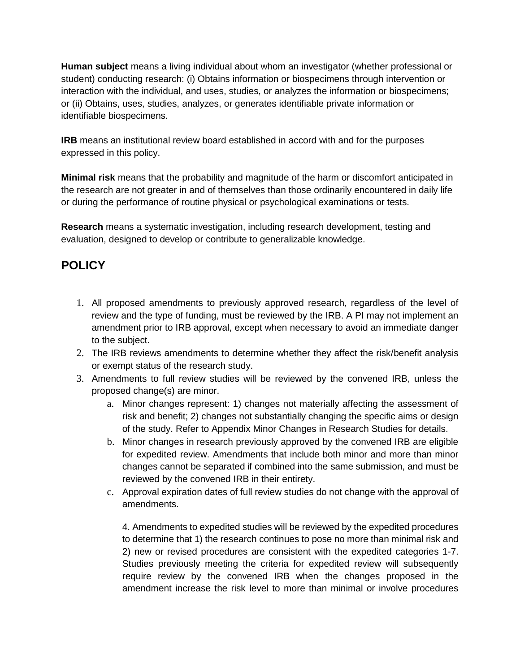**Human subject** means a living individual about whom an investigator (whether professional or student) conducting research: (i) Obtains information or biospecimens through intervention or interaction with the individual, and uses, studies, or analyzes the information or biospecimens; or (ii) Obtains, uses, studies, analyzes, or generates identifiable private information or identifiable biospecimens.

**IRB** means an institutional review board established in accord with and for the purposes expressed in this policy.

**Minimal risk** means that the probability and magnitude of the harm or discomfort anticipated in the research are not greater in and of themselves than those ordinarily encountered in daily life or during the performance of routine physical or psychological examinations or tests.

**Research** means a systematic investigation, including research development, testing and evaluation, designed to develop or contribute to generalizable knowledge.

# **POLICY**

- 1. All proposed amendments to previously approved research, regardless of the level of review and the type of funding, must be reviewed by the IRB. A PI may not implement an amendment prior to IRB approval, except when necessary to avoid an immediate danger to the subject.
- 2. The IRB reviews amendments to determine whether they affect the risk/benefit analysis or exempt status of the research study.
- 3. Amendments to full review studies will be reviewed by the convened IRB, unless the proposed change(s) are minor.
	- a. Minor changes represent: 1) changes not materially affecting the assessment of risk and benefit; 2) changes not substantially changing the specific aims or design of the study. Refer to Appendix Minor Changes in Research Studies for details.
	- b. Minor changes in research previously approved by the convened IRB are eligible for expedited review. Amendments that include both minor and more than minor changes cannot be separated if combined into the same submission, and must be reviewed by the convened IRB in their entirety.
	- c. Approval expiration dates of full review studies do not change with the approval of amendments.

4. Amendments to expedited studies will be reviewed by the expedited procedures to determine that 1) the research continues to pose no more than minimal risk and 2) new or revised procedures are consistent with the expedited categories 1-7. Studies previously meeting the criteria for expedited review will subsequently require review by the convened IRB when the changes proposed in the amendment increase the risk level to more than minimal or involve procedures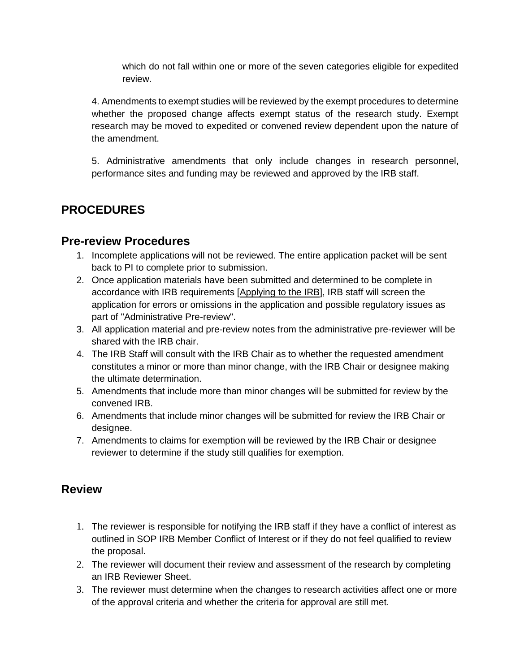which do not fall within one or more of the seven categories eligible for expedited review.

4. Amendments to exempt studies will be reviewed by the exempt procedures to determine whether the proposed change affects exempt status of the research study. Exempt research may be moved to expedited or convened review dependent upon the nature of the amendment.

5. Administrative amendments that only include changes in research personnel, performance sites and funding may be reviewed and approved by the IRB staff.

### **PROCEDURES**

#### **Pre-review Procedures**

- 1. Incomplete applications will not be reviewed. The entire application packet will be sent back to PI to complete prior to submission.
- 2. Once application materials have been submitted and determined to be complete in accordance with IRB requirements [\[Applying to the IRB\]](https://www.neiu.edu/academics/research-resources/institutional-review-board/resources-and-templates-new-research), IRB staff will screen the application for errors or omissions in the application and possible regulatory issues as part of "Administrative Pre-review".
- 3. All application material and pre-review notes from the administrative pre-reviewer will be shared with the IRB chair.
- 4. The IRB Staff will consult with the IRB Chair as to whether the requested amendment constitutes a minor or more than minor change, with the IRB Chair or designee making the ultimate determination.
- 5. Amendments that include more than minor changes will be submitted for review by the convened IRB.
- 6. Amendments that include minor changes will be submitted for review the IRB Chair or designee.
- 7. Amendments to claims for exemption will be reviewed by the IRB Chair or designee reviewer to determine if the study still qualifies for exemption.

### **Review**

- 1. The reviewer is responsible for notifying the IRB staff if they have a conflict of interest as outlined in SOP IRB Member Conflict of Interest or if they do not feel qualified to review the proposal.
- 2. The reviewer will document their review and assessment of the research by completing an IRB Reviewer Sheet.
- 3. The reviewer must determine when the changes to research activities affect one or more of the approval criteria and whether the criteria for approval are still met.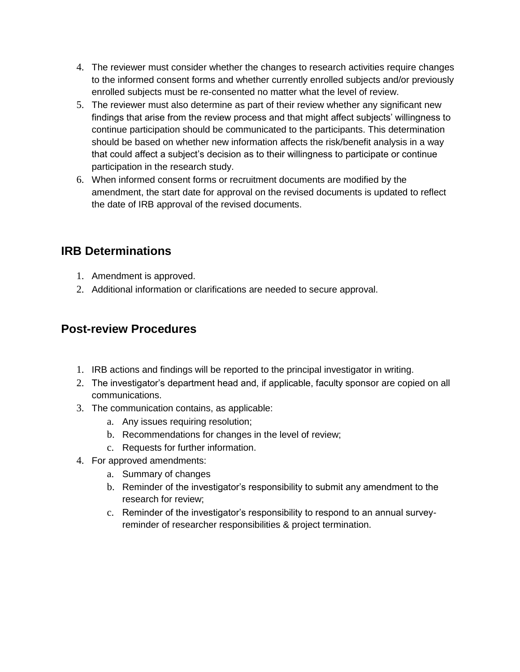- 4. The reviewer must consider whether the changes to research activities require changes to the informed consent forms and whether currently enrolled subjects and/or previously enrolled subjects must be re-consented no matter what the level of review.
- 5. The reviewer must also determine as part of their review whether any significant new findings that arise from the review process and that might affect subjects' willingness to continue participation should be communicated to the participants. This determination should be based on whether new information affects the risk/benefit analysis in a way that could affect a subject's decision as to their willingness to participate or continue participation in the research study.
- 6. When informed consent forms or recruitment documents are modified by the amendment, the start date for approval on the revised documents is updated to reflect the date of IRB approval of the revised documents.

## **IRB Determinations**

- 1. Amendment is approved.
- 2. Additional information or clarifications are needed to secure approval.

### **Post-review Procedures**

- 1. IRB actions and findings will be reported to the principal investigator in writing.
- 2. The investigator's department head and, if applicable, faculty sponsor are copied on all communications.
- 3. The communication contains, as applicable:
	- a. Any issues requiring resolution;
	- b. Recommendations for changes in the level of review;
	- c. Requests for further information.
- 4. For approved amendments:
	- a. Summary of changes
	- b. Reminder of the investigator's responsibility to submit any amendment to the research for review;
	- c. Reminder of the investigator's responsibility to respond to an annual surveyreminder of researcher responsibilities & project termination.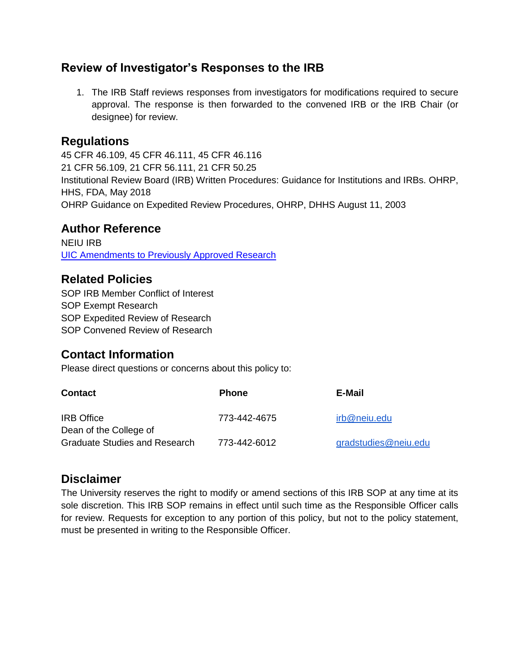### **Review of Investigator's Responses to the IRB**

1. The IRB Staff reviews responses from investigators for modifications required to secure approval. The response is then forwarded to the convened IRB or the IRB Chair (or designee) for review.

#### **Regulations**

45 CFR 46.109, 45 CFR 46.111, 45 CFR 46.116 21 CFR 56.109, 21 CFR 56.111, 21 CFR 50.25 Institutional Review Board (IRB) Written Procedures: Guidance for Institutions and IRBs. OHRP, HHS, FDA, May 2018 OHRP Guidance on Expedited Review Procedures, OHRP, DHHS August 11, 2003

#### **Author Reference**

NEIU IRB [UIC Amendments to Previously Approved Research](http://research.uic.edu/sites/default/files/0288.pdf)

### **Related Policies**

SOP IRB Member Conflict of Interes[t](https://www.neiu.edu/sites/neiu.edu/files/migrated-academics-body/documents/gbernads/SOP%20IRB%20Member%20Conflict%20of%20Interest.pdf) SOP Exempt Research SOP Expedited Review of Research SOP Convened Review of Research

## **Contact Information**

Please direct questions or concerns about this policy to:

| <b>Contact</b>                              | <b>Phone</b> | E-Mail               |
|---------------------------------------------|--------------|----------------------|
| <b>IRB</b> Office<br>Dean of the College of | 773-442-4675 | irb@neiu.edu         |
| Graduate Studies and Research               | 773-442-6012 | gradstudies@neiu.edu |

### **Disclaimer**

The University reserves the right to modify or amend sections of this IRB SOP at any time at its sole discretion. This IRB SOP remains in effect until such time as the Responsible Officer calls for review. Requests for exception to any portion of this policy, but not to the policy statement, must be presented in writing to the Responsible Officer.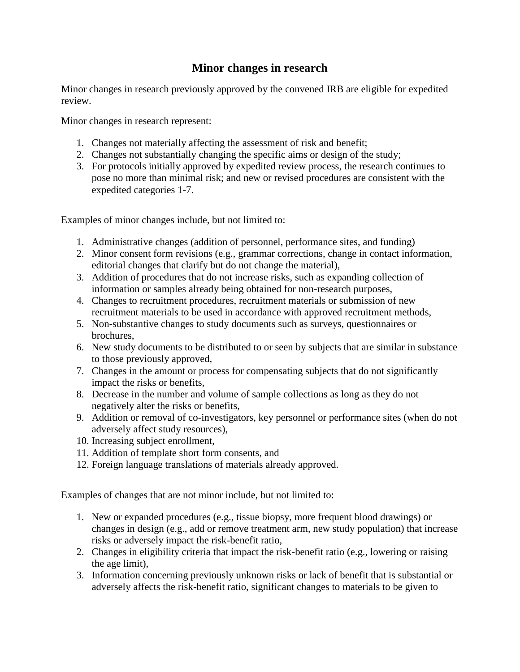#### **Minor changes in research**

Minor changes in research previously approved by the convened IRB are eligible for expedited review.

Minor changes in research represent:

- 1. Changes not materially affecting the assessment of risk and benefit;
- 2. Changes not substantially changing the specific aims or design of the study;
- 3. For protocols initially approved by expedited review process, the research continues to pose no more than minimal risk; and new or revised procedures are consistent with the expedited categories 1-7.

Examples of minor changes include, but not limited to:

- 1. Administrative changes (addition of personnel, performance sites, and funding)
- 2. Minor consent form revisions (e.g., grammar corrections, change in contact information, editorial changes that clarify but do not change the material),
- 3. Addition of procedures that do not increase risks, such as expanding collection of information or samples already being obtained for non-research purposes,
- 4. Changes to recruitment procedures, recruitment materials or submission of new recruitment materials to be used in accordance with approved recruitment methods,
- 5. Non-substantive changes to study documents such as surveys, questionnaires or brochures,
- 6. New study documents to be distributed to or seen by subjects that are similar in substance to those previously approved,
- 7. Changes in the amount or process for compensating subjects that do not significantly impact the risks or benefits,
- 8. Decrease in the number and volume of sample collections as long as they do not negatively alter the risks or benefits,
- 9. Addition or removal of co-investigators, key personnel or performance sites (when do not adversely affect study resources),
- 10. Increasing subject enrollment,
- 11. Addition of template short form consents, and
- 12. Foreign language translations of materials already approved.

Examples of changes that are not minor include, but not limited to:

- 1. New or expanded procedures (e.g., tissue biopsy, more frequent blood drawings) or changes in design (e.g., add or remove treatment arm, new study population) that increase risks or adversely impact the risk-benefit ratio,
- 2. Changes in eligibility criteria that impact the risk-benefit ratio (e.g., lowering or raising the age limit),
- 3. Information concerning previously unknown risks or lack of benefit that is substantial or adversely affects the risk-benefit ratio, significant changes to materials to be given to